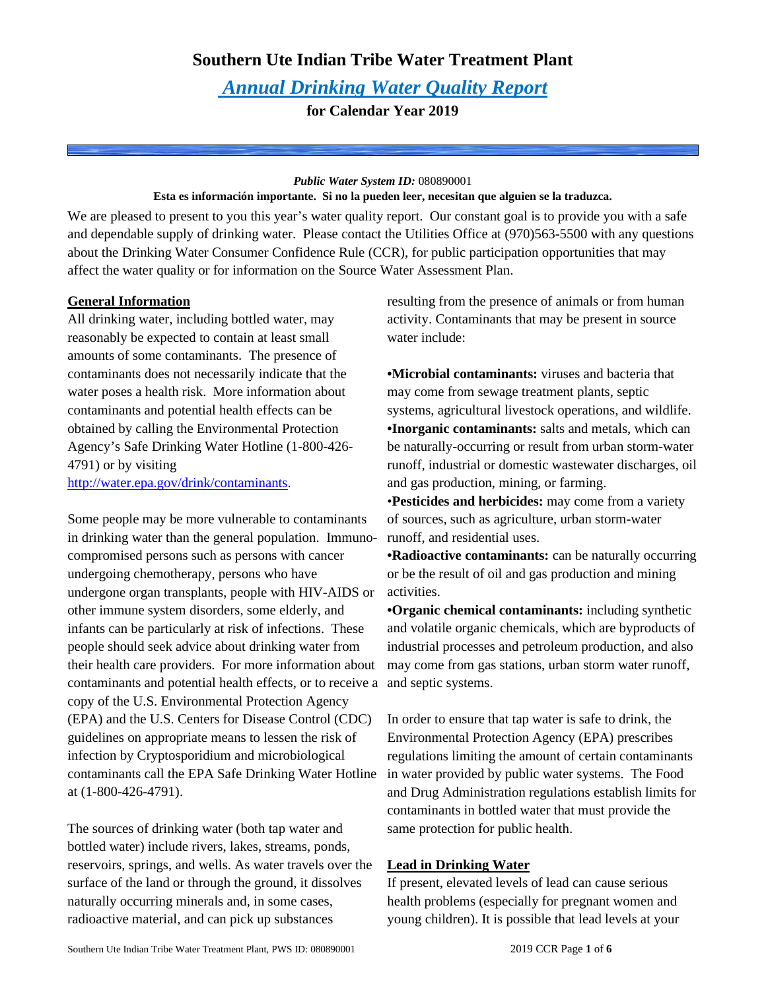# **Southern Ute Indian Tribe Water Treatment Plant**

# *Annual Drinking Water Quality Report*

**for Calendar Year 2019**

### *Public Water System ID:* 080890001

## **Esta es información importante. Si no la pueden leer, necesitan que alguien se la traduzca.**

We are pleased to present to you this year's water quality report. Our constant goal is to provide you with a safe and dependable supply of drinking water. Please contact the Utilities Office at (970)563-5500 with any questions about the Drinking Water Consumer Confidence Rule (CCR), for public participation opportunities that may affect the water quality or for information on the Source Water Assessment Plan.

# **General Information**

All drinking water, including bottled water, may reasonably be expected to contain at least small amounts of some contaminants. The presence of contaminants does not necessarily indicate that the water poses a health risk. More information about contaminants and potential health effects can be obtained by calling the Environmental Protection Agency's Safe Drinking Water Hotline (1-800-426- 4791) or by visiting [http://water.epa.gov/drink/contaminants.](http://water.epa.gov/drink/contaminants)

Some people may be more vulnerable to contaminants in drinking water than the general population. Immunocompromised persons such as persons with cancer undergoing chemotherapy, persons who have undergone organ transplants, people with HIV-AIDS or other immune system disorders, some elderly, and infants can be particularly at risk of infections. These people should seek advice about drinking water from their health care providers. For more information about contaminants and potential health effects, or to receive a copy of the U.S. Environmental Protection Agency (EPA) and the U.S. Centers for Disease Control (CDC) guidelines on appropriate means to lessen the risk of infection by Cryptosporidium and microbiological contaminants call the EPA Safe Drinking Water Hotline at (1-800-426-4791).

The sources of drinking water (both tap water and bottled water) include rivers, lakes, streams, ponds, reservoirs, springs, and wells. As water travels over the surface of the land or through the ground, it dissolves naturally occurring minerals and, in some cases, radioactive material, and can pick up substances

resulting from the presence of animals or from human activity. Contaminants that may be present in source water include:

**•Microbial contaminants:** viruses and bacteria that may come from sewage treatment plants, septic systems, agricultural livestock operations, and wildlife. **•Inorganic contaminants:** salts and metals, which can be naturally-occurring or result from urban storm-water runoff, industrial or domestic wastewater discharges, oil and gas production, mining, or farming.

•**Pesticides and herbicides:** may come from a variety of sources, such as agriculture, urban storm-water runoff, and residential uses.

**•Radioactive contaminants:** can be naturally occurring or be the result of oil and gas production and mining activities.

**•Organic chemical contaminants:** including synthetic and volatile organic chemicals, which are byproducts of industrial processes and petroleum production, and also may come from gas stations, urban storm water runoff, and septic systems.

In order to ensure that tap water is safe to drink, the Environmental Protection Agency (EPA) prescribes regulations limiting the amount of certain contaminants in water provided by public water systems. The Food and Drug Administration regulations establish limits for contaminants in bottled water that must provide the same protection for public health.

# **Lead in Drinking Water**

If present, elevated levels of lead can cause serious health problems (especially for pregnant women and young children). It is possible that lead levels at your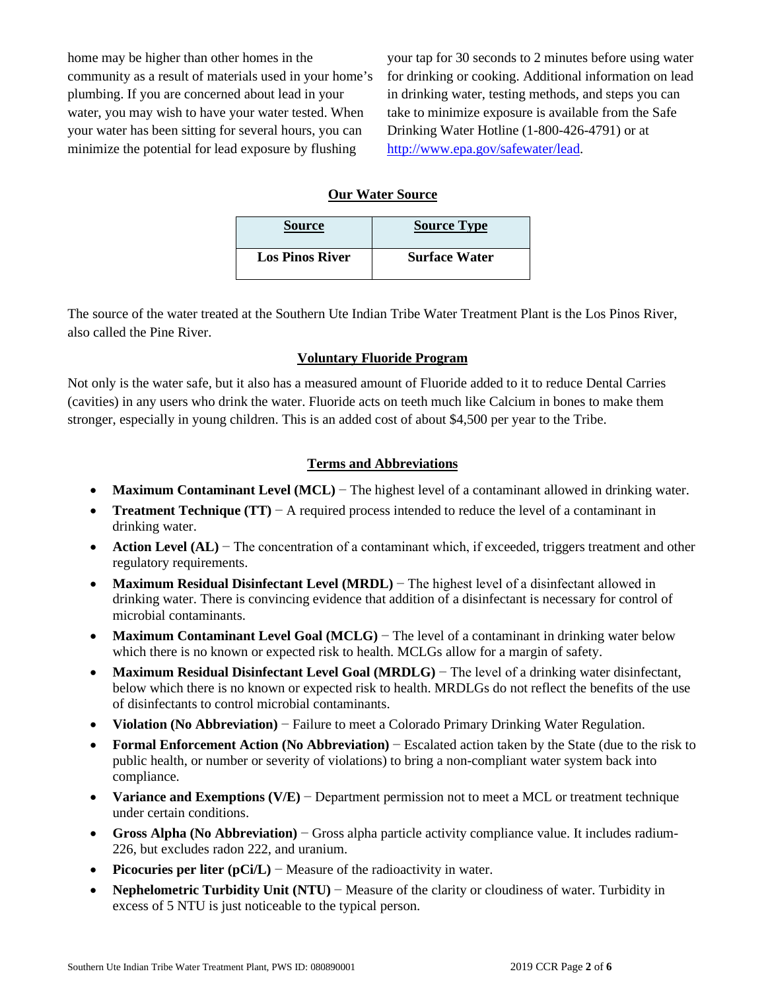home may be higher than other homes in the community as a result of materials used in your home's plumbing. If you are concerned about lead in your water, you may wish to have your water tested. When your water has been sitting for several hours, you can minimize the potential for lead exposure by flushing

your tap for 30 seconds to 2 minutes before using water for drinking or cooking. Additional information on lead in drinking water, testing methods, and steps you can take to minimize exposure is available from the Safe Drinking Water Hotline (1-800-426-4791) or at [http://www.epa.gov/safewater/lead.](http://www.epa.gov/safewater/lead)

## **Our Water Source**

| <b>Source</b>          | <b>Source Type</b>   |
|------------------------|----------------------|
| <b>Los Pinos River</b> | <b>Surface Water</b> |

The source of the water treated at the Southern Ute Indian Tribe Water Treatment Plant is the Los Pinos River, also called the Pine River.

## **Voluntary Fluoride Program**

Not only is the water safe, but it also has a measured amount of Fluoride added to it to reduce Dental Carries (cavities) in any users who drink the water. Fluoride acts on teeth much like Calcium in bones to make them stronger, especially in young children. This is an added cost of about \$4,500 per year to the Tribe.

## **Terms and Abbreviations**

- **Maximum Contaminant Level (MCL)** − The highest level of a contaminant allowed in drinking water.
- **Treatment Technique (TT)** − A required process intended to reduce the level of a contaminant in drinking water.
- **Action Level (AL)** − The concentration of a contaminant which, if exceeded, triggers treatment and other regulatory requirements.
- **Maximum Residual Disinfectant Level (MRDL)** − The highest level of a disinfectant allowed in drinking water. There is convincing evidence that addition of a disinfectant is necessary for control of microbial contaminants.
- **Maximum Contaminant Level Goal (MCLG)** The level of a contaminant in drinking water below which there is no known or expected risk to health. MCLGs allow for a margin of safety.
- **Maximum Residual Disinfectant Level Goal (MRDLG)** − The level of a drinking water disinfectant, below which there is no known or expected risk to health. MRDLGs do not reflect the benefits of the use of disinfectants to control microbial contaminants.
- **Violation (No Abbreviation)** − Failure to meet a Colorado Primary Drinking Water Regulation.
- **Formal Enforcement Action (No Abbreviation)** − Escalated action taken by the State (due to the risk to public health, or number or severity of violations) to bring a non-compliant water system back into compliance.
- **Variance and Exemptions (V/E)** − Department permission not to meet a MCL or treatment technique under certain conditions.
- **Gross Alpha (No Abbreviation)** − Gross alpha particle activity compliance value. It includes radium-226, but excludes radon 222, and uranium.
- **Picocuries per liter (pCi/L)** − Measure of the radioactivity in water.
- **Nephelometric Turbidity Unit (NTU)** − Measure of the clarity or cloudiness of water. Turbidity in excess of 5 NTU is just noticeable to the typical person.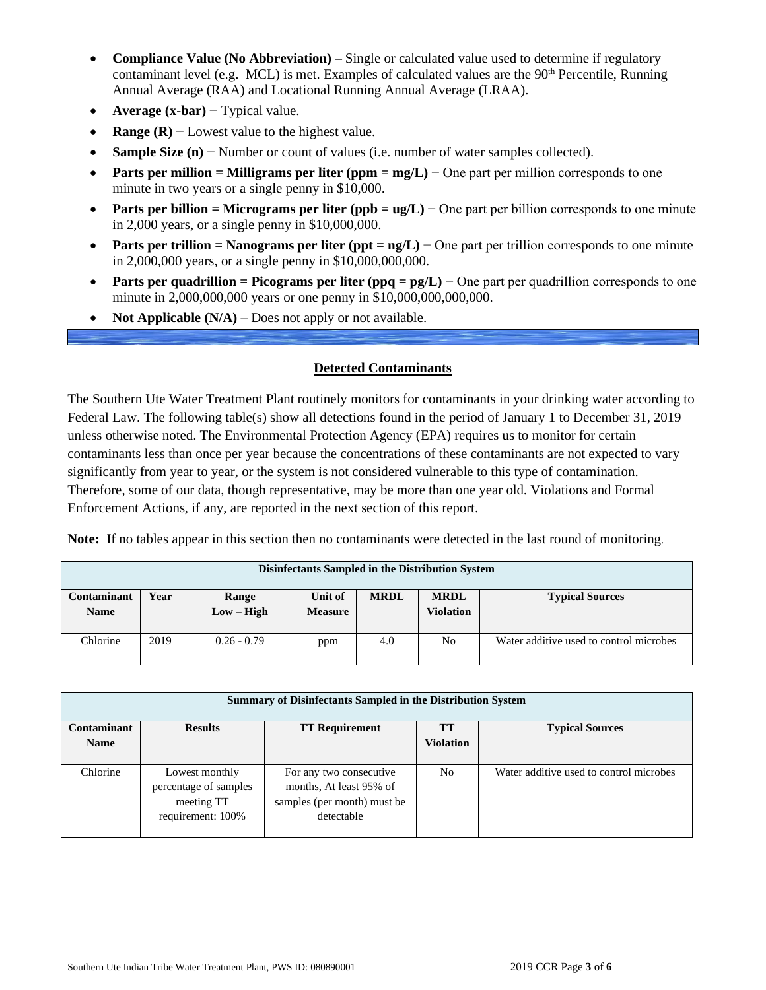- **Compliance Value (No Abbreviation)** Single or calculated value used to determine if regulatory contaminant level (e.g. MCL) is met. Examples of calculated values are the  $90<sup>th</sup>$  Percentile, Running Annual Average (RAA) and Locational Running Annual Average (LRAA).
- **Average (x-bar)** − Typical value.
- **Range (R)**  $-$  Lowest value to the highest value.
- **Sample Size (n)** − Number or count of values (i.e. number of water samples collected).
- **Parts per million = Milligrams per liter (ppm =**  $mg/L$ **)** One part per million corresponds to one minute in two years or a single penny in \$10,000.
- **Parts per billion = Micrograms per liter (ppb = ug/L)** − One part per billion corresponds to one minute in 2,000 years, or a single penny in \$10,000,000.
- **Parts per trillion = Nanograms per liter (ppt = ng/L)** − One part per trillion corresponds to one minute in 2,000,000 years, or a single penny in \$10,000,000,000.
- **Parts per quadrillion = Picograms per liter (ppq =**  $pg/L$ **)** One part per quadrillion corresponds to one minute in 2,000,000,000 years or one penny in \$10,000,000,000,000.
- **Not Applicable**  $(N/A)$  Does not apply or not available.

## **Detected Contaminants**

The Southern Ute Water Treatment Plant routinely monitors for contaminants in your drinking water according to Federal Law. The following table(s) show all detections found in the period of January 1 to December 31, 2019 unless otherwise noted. The Environmental Protection Agency (EPA) requires us to monitor for certain contaminants less than once per year because the concentrations of these contaminants are not expected to vary significantly from year to year, or the system is not considered vulnerable to this type of contamination. Therefore, some of our data, though representative, may be more than one year old. Violations and Formal Enforcement Actions, if any, are reported in the next section of this report.

**Note:** If no tables appear in this section then no contaminants were detected in the last round of monitoring.

|                            | Disinfectants Sampled in the Distribution System |                       |                           |             |                          |                                         |  |  |  |  |
|----------------------------|--------------------------------------------------|-----------------------|---------------------------|-------------|--------------------------|-----------------------------------------|--|--|--|--|
| Contaminant<br><b>Name</b> | Year                                             | Range<br>$Low - High$ | Unit of<br><b>Measure</b> | <b>MRDL</b> | <b>MRDL</b><br>Violation | <b>Typical Sources</b>                  |  |  |  |  |
| Chlorine                   | 2019                                             | $0.26 - 0.79$         | ppm                       | 4.0         | No.                      | Water additive used to control microbes |  |  |  |  |

|                    | <b>Summary of Disinfectants Sampled in the Distribution System</b>         |                                                                                                 |                  |                                         |  |  |  |  |  |  |  |
|--------------------|----------------------------------------------------------------------------|-------------------------------------------------------------------------------------------------|------------------|-----------------------------------------|--|--|--|--|--|--|--|
| <b>Contaminant</b> | <b>Results</b>                                                             | <b>TT Requirement</b>                                                                           | <b>TT</b>        | <b>Typical Sources</b>                  |  |  |  |  |  |  |  |
| <b>Name</b>        |                                                                            |                                                                                                 | <b>Violation</b> |                                         |  |  |  |  |  |  |  |
| Chlorine           | Lowest monthly<br>percentage of samples<br>meeting TT<br>requirement: 100% | For any two consecutive<br>months, At least 95% of<br>samples (per month) must be<br>detectable | N <sub>0</sub>   | Water additive used to control microbes |  |  |  |  |  |  |  |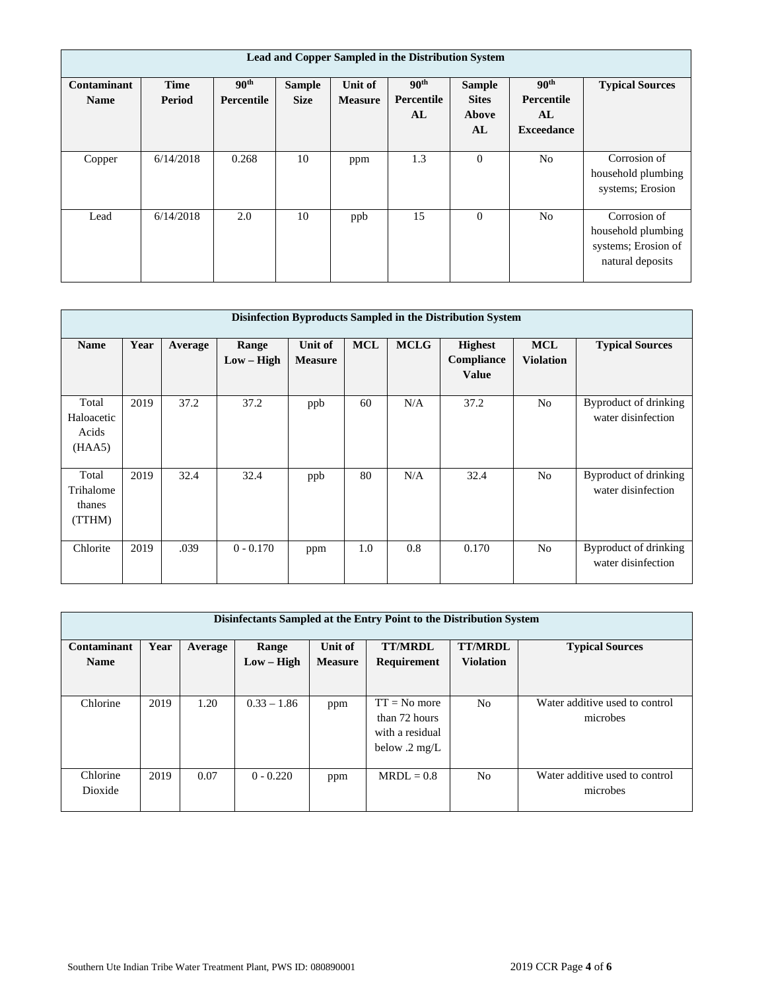|                            | Lead and Copper Sampled in the Distribution System |                                |                              |                           |                                      |                                              |                                                           |                                                                               |  |  |  |  |
|----------------------------|----------------------------------------------------|--------------------------------|------------------------------|---------------------------|--------------------------------------|----------------------------------------------|-----------------------------------------------------------|-------------------------------------------------------------------------------|--|--|--|--|
| Contaminant<br><b>Name</b> | <b>Time</b><br>Period                              | 90 <sup>th</sup><br>Percentile | <b>Sample</b><br><b>Size</b> | Unit of<br><b>Measure</b> | 90 <sup>th</sup><br>Percentile<br>AL | <b>Sample</b><br><b>Sites</b><br>Above<br>AL | 90 <sup>th</sup><br>Percentile<br>AL<br><b>Exceedance</b> | <b>Typical Sources</b>                                                        |  |  |  |  |
| Copper                     | 6/14/2018                                          | 0.268                          | 10                           | ppm                       | 1.3                                  | $\theta$                                     | N <sub>o</sub>                                            | Corrosion of<br>household plumbing<br>systems; Erosion                        |  |  |  |  |
| Lead                       | 6/14/2018                                          | 2.0                            | 10                           | ppb                       | 15                                   | $\theta$                                     | N <sub>o</sub>                                            | Corrosion of<br>household plumbing<br>systems; Erosion of<br>natural deposits |  |  |  |  |

|                                        | Disinfection Byproducts Sampled in the Distribution System |         |                       |                           |            |             |                                              |                                |                                             |  |  |  |
|----------------------------------------|------------------------------------------------------------|---------|-----------------------|---------------------------|------------|-------------|----------------------------------------------|--------------------------------|---------------------------------------------|--|--|--|
| <b>Name</b>                            | Year                                                       | Average | Range<br>$Low - High$ | Unit of<br><b>Measure</b> | <b>MCL</b> | <b>MCLG</b> | <b>Highest</b><br>Compliance<br><b>Value</b> | <b>MCL</b><br><b>Violation</b> | <b>Typical Sources</b>                      |  |  |  |
| Total<br>Haloacetic<br>Acids<br>(HAA5) | 2019                                                       | 37.2    | 37.2                  | ppb                       | 60         | N/A         | 37.2                                         | N <sub>0</sub>                 | Byproduct of drinking<br>water disinfection |  |  |  |
| Total<br>Trihalome<br>thanes<br>(TTHM) | 2019                                                       | 32.4    | 32.4                  | ppb                       | 80         | N/A         | 32.4                                         | N <sub>o</sub>                 | Byproduct of drinking<br>water disinfection |  |  |  |
| Chlorite                               | 2019                                                       | .039    | $0 - 0.170$           | ppm                       | 1.0        | 0.8         | 0.170                                        | No                             | Byproduct of drinking<br>water disinfection |  |  |  |

| Disinfectants Sampled at the Entry Point to the Distribution System |         |               |                |                         |                  |                                |  |  |  |  |
|---------------------------------------------------------------------|---------|---------------|----------------|-------------------------|------------------|--------------------------------|--|--|--|--|
| Year                                                                | Average | Range         | Unit of        | <b>TT/MRDL</b>          | <b>TT/MRDL</b>   | <b>Typical Sources</b>         |  |  |  |  |
|                                                                     |         | $Low - High$  | <b>Measure</b> | Requirement             | <b>Violation</b> |                                |  |  |  |  |
|                                                                     |         |               |                |                         |                  |                                |  |  |  |  |
| 2019                                                                | 1.20    | $0.33 - 1.86$ | ppm            | $TT = No$ more          | N <sub>0</sub>   | Water additive used to control |  |  |  |  |
|                                                                     |         |               |                | than 72 hours           |                  | microbes                       |  |  |  |  |
|                                                                     |         |               |                | with a residual         |                  |                                |  |  |  |  |
|                                                                     |         |               |                | below $.2 \text{ mg/L}$ |                  |                                |  |  |  |  |
| 2019                                                                | 0.07    | $0 - 0.220$   | ppm            | $MRDL = 0.8$            | N <sub>0</sub>   | Water additive used to control |  |  |  |  |
|                                                                     |         |               |                |                         |                  | microbes                       |  |  |  |  |
|                                                                     |         |               |                |                         |                  |                                |  |  |  |  |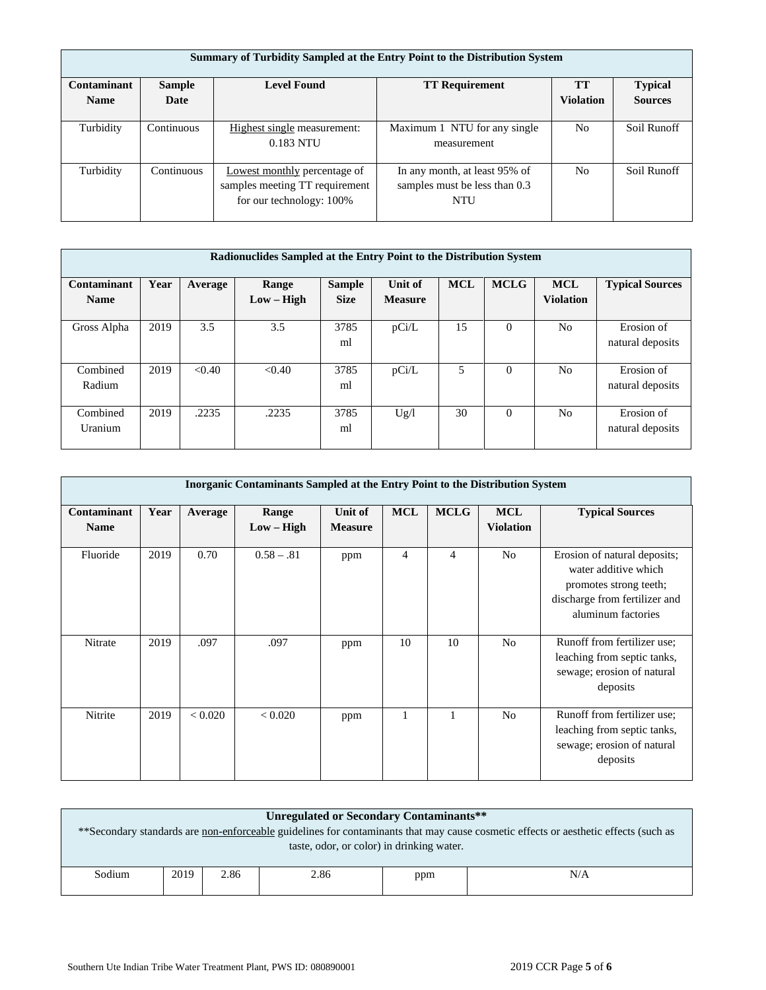|                    | <b>Summary of Turbidity Sampled at the Entry Point to the Distribution System</b> |                                |                               |                  |                |  |  |  |  |  |  |
|--------------------|-----------------------------------------------------------------------------------|--------------------------------|-------------------------------|------------------|----------------|--|--|--|--|--|--|
| <b>Contaminant</b> | <b>Sample</b>                                                                     | <b>TT</b>                      | <b>Typical</b>                |                  |                |  |  |  |  |  |  |
| <b>Name</b>        | Date                                                                              |                                |                               | <b>Violation</b> | <b>Sources</b> |  |  |  |  |  |  |
|                    |                                                                                   |                                |                               |                  |                |  |  |  |  |  |  |
| Turbidity          | Continuous                                                                        | Highest single measurement:    | Maximum 1 NTU for any single  | N <sub>0</sub>   | Soil Runoff    |  |  |  |  |  |  |
|                    |                                                                                   | 0.183 NTU                      | measurement                   |                  |                |  |  |  |  |  |  |
|                    |                                                                                   |                                |                               |                  |                |  |  |  |  |  |  |
| Turbidity          | Continuous                                                                        | Lowest monthly percentage of   | In any month, at least 95% of | N <sub>o</sub>   | Soil Runoff    |  |  |  |  |  |  |
|                    |                                                                                   | samples meeting TT requirement | samples must be less than 0.3 |                  |                |  |  |  |  |  |  |
|                    |                                                                                   | for our technology: 100%       | NTU                           |                  |                |  |  |  |  |  |  |
|                    |                                                                                   |                                |                               |                  |                |  |  |  |  |  |  |

|                            | Radionuclides Sampled at the Entry Point to the Distribution System |         |                       |                              |                           |            |             |                                |                                |  |  |
|----------------------------|---------------------------------------------------------------------|---------|-----------------------|------------------------------|---------------------------|------------|-------------|--------------------------------|--------------------------------|--|--|
| Contaminant<br><b>Name</b> | Year                                                                | Average | Range<br>$Low - High$ | <b>Sample</b><br><b>Size</b> | Unit of<br><b>Measure</b> | <b>MCL</b> | <b>MCLG</b> | <b>MCL</b><br><b>Violation</b> | <b>Typical Sources</b>         |  |  |
| Gross Alpha                | 2019                                                                | 3.5     | 3.5                   | 3785<br>ml                   | pCi/L                     | 15         | $\Omega$    | No                             | Erosion of<br>natural deposits |  |  |
| Combined<br>Radium         | 2019                                                                | < 0.40  | < 0.40                | 3785<br>ml                   | pCi/L                     | 5          | $\Omega$    | N <sub>0</sub>                 | Erosion of<br>natural deposits |  |  |
| Combined<br><b>Uranium</b> | 2019                                                                | .2235   | .2235                 | 3785<br>ml                   | Ug/l                      | 30         | $\Omega$    | N <sub>0</sub>                 | Erosion of<br>natural deposits |  |  |

|                            | <b>Inorganic Contaminants Sampled at the Entry Point to the Distribution System</b> |         |                       |                           |                |             |                                |                                                                                                                                       |  |  |  |  |
|----------------------------|-------------------------------------------------------------------------------------|---------|-----------------------|---------------------------|----------------|-------------|--------------------------------|---------------------------------------------------------------------------------------------------------------------------------------|--|--|--|--|
| Contaminant<br><b>Name</b> | Year                                                                                | Average | Range<br>$Low - High$ | Unit of<br><b>Measure</b> | <b>MCL</b>     | <b>MCLG</b> | <b>MCL</b><br><b>Violation</b> | <b>Typical Sources</b>                                                                                                                |  |  |  |  |
| Fluoride                   | 2019                                                                                | 0.70    | $0.58 - .81$          | ppm                       | $\overline{4}$ | 4           | N <sub>o</sub>                 | Erosion of natural deposits;<br>water additive which<br>promotes strong teeth;<br>discharge from fertilizer and<br>aluminum factories |  |  |  |  |
| Nitrate                    | 2019                                                                                | .097    | .097                  | ppm                       | 10             | 10          | N <sub>o</sub>                 | Runoff from fertilizer use;<br>leaching from septic tanks,<br>sewage; erosion of natural<br>deposits                                  |  |  |  |  |
| Nitrite                    | 2019                                                                                | < 0.020 | < 0.020               | ppm                       | 1              |             | N <sub>o</sub>                 | Runoff from fertilizer use;<br>leaching from septic tanks,<br>sewage; erosion of natural<br>deposits                                  |  |  |  |  |

|        | Unregulated or Secondary Contaminants**<br>** Secondary standards are non-enforceable guidelines for contaminants that may cause cosmetic effects or aesthetic effects (such as |      |      |     |     |  |  |  |  |
|--------|---------------------------------------------------------------------------------------------------------------------------------------------------------------------------------|------|------|-----|-----|--|--|--|--|
|        | taste, odor, or color) in drinking water.                                                                                                                                       |      |      |     |     |  |  |  |  |
| Sodium | 2019                                                                                                                                                                            | 2.86 | 2.86 | ppm | N/A |  |  |  |  |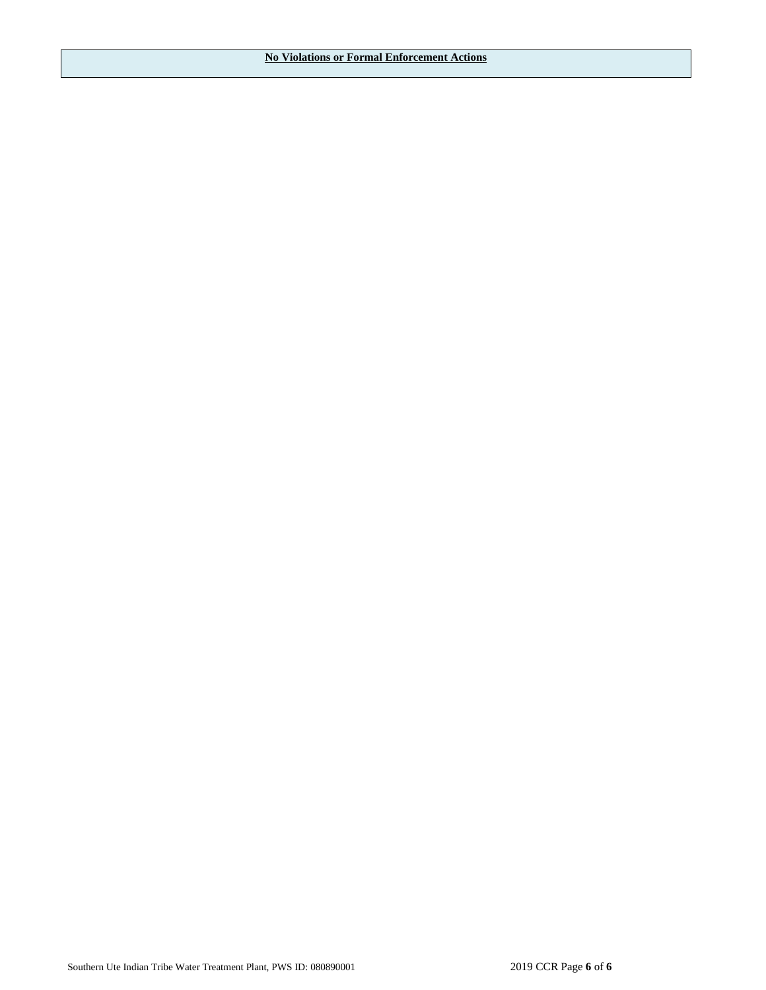**No Violations or Formal Enforcement Actions**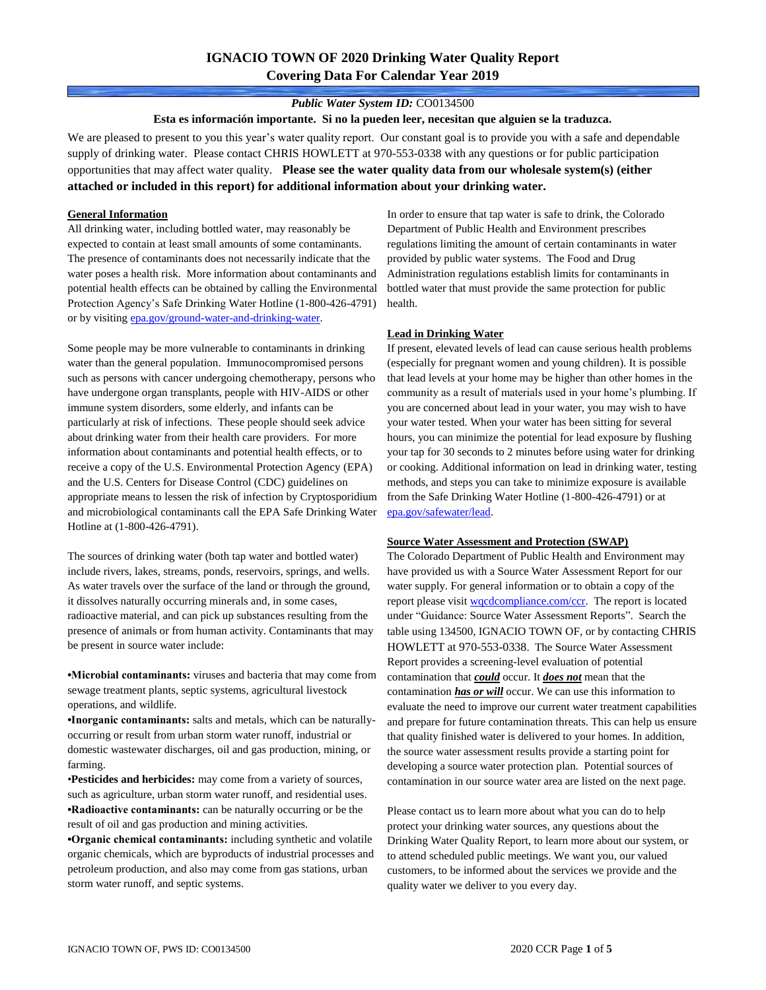# **IGNACIO TOWN OF 2020 Drinking Water Quality Report Covering Data For Calendar Year 2019**

#### *Public Water System ID:* CO0134500

**Esta es información importante. Si no la pueden leer, necesitan que alguien se la traduzca.**

We are pleased to present to you this year's water quality report. Our constant goal is to provide you with a safe and dependable supply of drinking water. Please contact CHRIS HOWLETT at 970-553-0338 with any questions or for public participation opportunities that may affect water quality. **Please see the water quality data from our wholesale system(s) (either attached or included in this report) for additional information about your drinking water.**

#### **General Information**

All drinking water, including bottled water, may reasonably be expected to contain at least small amounts of some contaminants. The presence of contaminants does not necessarily indicate that the water poses a health risk. More information about contaminants and potential health effects can be obtained by calling the Environmental Protection Agency's Safe Drinking Water Hotline (1-800-426-4791) or by visiting [epa.gov/ground-water-and-drinking-water.](https://www.epa.gov/ground-water-and-drinking-water)

Some people may be more vulnerable to contaminants in drinking water than the general population. Immunocompromised persons such as persons with cancer undergoing chemotherapy, persons who have undergone organ transplants, people with HIV-AIDS or other immune system disorders, some elderly, and infants can be particularly at risk of infections. These people should seek advice about drinking water from their health care providers. For more information about contaminants and potential health effects, or to receive a copy of the U.S. Environmental Protection Agency (EPA) and the U.S. Centers for Disease Control (CDC) guidelines on appropriate means to lessen the risk of infection by Cryptosporidium and microbiological contaminants call the EPA Safe Drinking Water Hotline at (1-800-426-4791).

The sources of drinking water (both tap water and bottled water) include rivers, lakes, streams, ponds, reservoirs, springs, and wells. As water travels over the surface of the land or through the ground, it dissolves naturally occurring minerals and, in some cases, radioactive material, and can pick up substances resulting from the presence of animals or from human activity. Contaminants that may be present in source water include:

**•Microbial contaminants:** viruses and bacteria that may come from sewage treatment plants, septic systems, agricultural livestock operations, and wildlife.

**•Inorganic contaminants:** salts and metals, which can be naturallyoccurring or result from urban storm water runoff, industrial or domestic wastewater discharges, oil and gas production, mining, or farming.

•**Pesticides and herbicides:** may come from a variety of sources, such as agriculture, urban storm water runoff, and residential uses. **•Radioactive contaminants:** can be naturally occurring or be the result of oil and gas production and mining activities.

**•Organic chemical contaminants:** including synthetic and volatile organic chemicals, which are byproducts of industrial processes and petroleum production, and also may come from gas stations, urban storm water runoff, and septic systems.

In order to ensure that tap water is safe to drink, the Colorado Department of Public Health and Environment prescribes regulations limiting the amount of certain contaminants in water provided by public water systems. The Food and Drug Administration regulations establish limits for contaminants in bottled water that must provide the same protection for public health.

### **Lead in Drinking Water**

If present, elevated levels of lead can cause serious health problems (especially for pregnant women and young children). It is possible that lead levels at your home may be higher than other homes in the community as a result of materials used in your home's plumbing. If you are concerned about lead in your water, you may wish to have your water tested. When your water has been sitting for several hours, you can minimize the potential for lead exposure by flushing your tap for 30 seconds to 2 minutes before using water for drinking or cooking. Additional information on lead in drinking water, testing methods, and steps you can take to minimize exposure is available from the Safe Drinking Water Hotline (1-800-426-4791) or at [epa.gov/safewater/lead.](http://www.epa.gov/safewater/lead) 

#### **Source Water Assessment and Protection (SWAP)**

The Colorado Department of Public Health and Environment may have provided us with a Source Water Assessment Report for our water supply. For general information or to obtain a copy of the report please visit [wqcdcompliance.com/ccr.](https://wqcdcompliance.com/ccr) The report is located under "Guidance: Source Water Assessment Reports". Search the table using 134500, IGNACIO TOWN OF, or by contacting CHRIS HOWLETT at 970-553-0338. The Source Water Assessment Report provides a screening-level evaluation of potential contamination that *could* occur. It *does not* mean that the contamination *has or will* occur. We can use this information to evaluate the need to improve our current water treatment capabilities and prepare for future contamination threats. This can help us ensure that quality finished water is delivered to your homes. In addition, the source water assessment results provide a starting point for developing a source water protection plan. Potential sources of contamination in our source water area are listed on the next page.

Please contact us to learn more about what you can do to help protect your drinking water sources, any questions about the Drinking Water Quality Report, to learn more about our system, or to attend scheduled public meetings. We want you, our valued customers, to be informed about the services we provide and the quality water we deliver to you every day.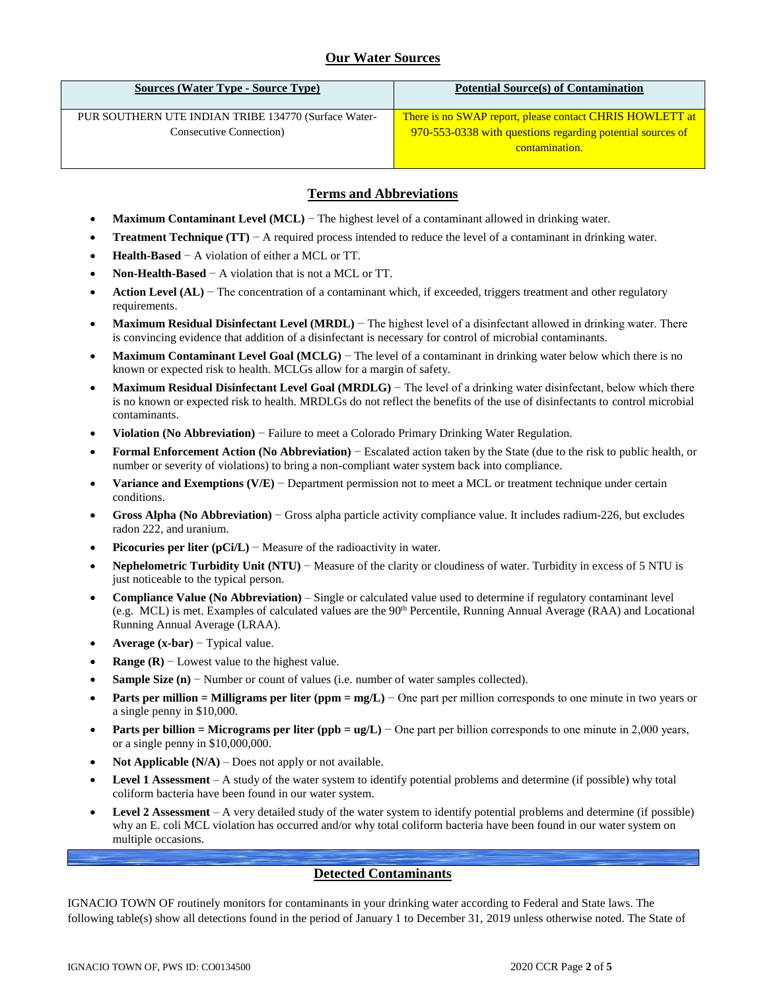## **Our Water Sources**

| <b>Sources (Water Type - Source Type)</b>                                       | <b>Potential Source(s) of Contamination</b>                                                                                              |
|---------------------------------------------------------------------------------|------------------------------------------------------------------------------------------------------------------------------------------|
| PUR SOUTHERN UTE INDIAN TRIBE 134770 (Surface Water-<br>Consecutive Connection) | There is no SWAP report, please contact CHRIS HOWLETT at<br>970-553-0338 with questions regarding potential sources of<br>contamination. |

### **Terms and Abbreviations**

- **Maximum Contaminant Level (MCL)** − The highest level of a contaminant allowed in drinking water.
- **Treatment Technique (TT)** − A required process intended to reduce the level of a contaminant in drinking water.
- **Health-Based** − A violation of either a MCL or TT.
- **Non-Health-Based** − A violation that is not a MCL or TT.
- **Action Level (AL)** − The concentration of a contaminant which, if exceeded, triggers treatment and other regulatory requirements.
- **Maximum Residual Disinfectant Level (MRDL)** − The highest level of a disinfectant allowed in drinking water. There is convincing evidence that addition of a disinfectant is necessary for control of microbial contaminants.
- **Maximum Contaminant Level Goal (MCLG)** − The level of a contaminant in drinking water below which there is no known or expected risk to health. MCLGs allow for a margin of safety.
- **Maximum Residual Disinfectant Level Goal (MRDLG)** − The level of a drinking water disinfectant, below which there is no known or expected risk to health. MRDLGs do not reflect the benefits of the use of disinfectants to control microbial contaminants.
- **Violation (No Abbreviation)** − Failure to meet a Colorado Primary Drinking Water Regulation.
- **Formal Enforcement Action (No Abbreviation)** − Escalated action taken by the State (due to the risk to public health, or number or severity of violations) to bring a non-compliant water system back into compliance.
- **Variance and Exemptions (V/E)** − Department permission not to meet a MCL or treatment technique under certain conditions.
- **Gross Alpha (No Abbreviation)** − Gross alpha particle activity compliance value. It includes radium-226, but excludes radon 222, and uranium.
- **Picocuries per liter (pCi/L)** − Measure of the radioactivity in water.
- **Nephelometric Turbidity Unit (NTU)** − Measure of the clarity or cloudiness of water. Turbidity in excess of 5 NTU is just noticeable to the typical person.
- **Compliance Value (No Abbreviation)** Single or calculated value used to determine if regulatory contaminant level (e.g. MCL) is met. Examples of calculated values are the 90<sup>th</sup> Percentile, Running Annual Average (RAA) and Locational Running Annual Average (LRAA).
- **Average (x-bar)** − Typical value.
- **Range (R)**  $-$  Lowest value to the highest value.
- **Sample Size (n)** − Number or count of values (i.e. number of water samples collected).
- **Parts per million = Milligrams per liter (ppm = mg/L)** − One part per million corresponds to one minute in two years or a single penny in \$10,000.
- **Parts per billion = Micrograms per liter (ppb = ug/L)** − One part per billion corresponds to one minute in 2,000 years, or a single penny in \$10,000,000.
- **Not Applicable (N/A)** Does not apply or not available.
- **Level 1 Assessment** A study of the water system to identify potential problems and determine (if possible) why total coliform bacteria have been found in our water system.
- **Level 2 Assessment** A very detailed study of the water system to identify potential problems and determine (if possible) why an E. coli MCL violation has occurred and/or why total coliform bacteria have been found in our water system on multiple occasions.

### **Detected Contaminants**

IGNACIO TOWN OF routinely monitors for contaminants in your drinking water according to Federal and State laws. The following table(s) show all detections found in the period of January 1 to December 31, 2019 unless otherwise noted. The State of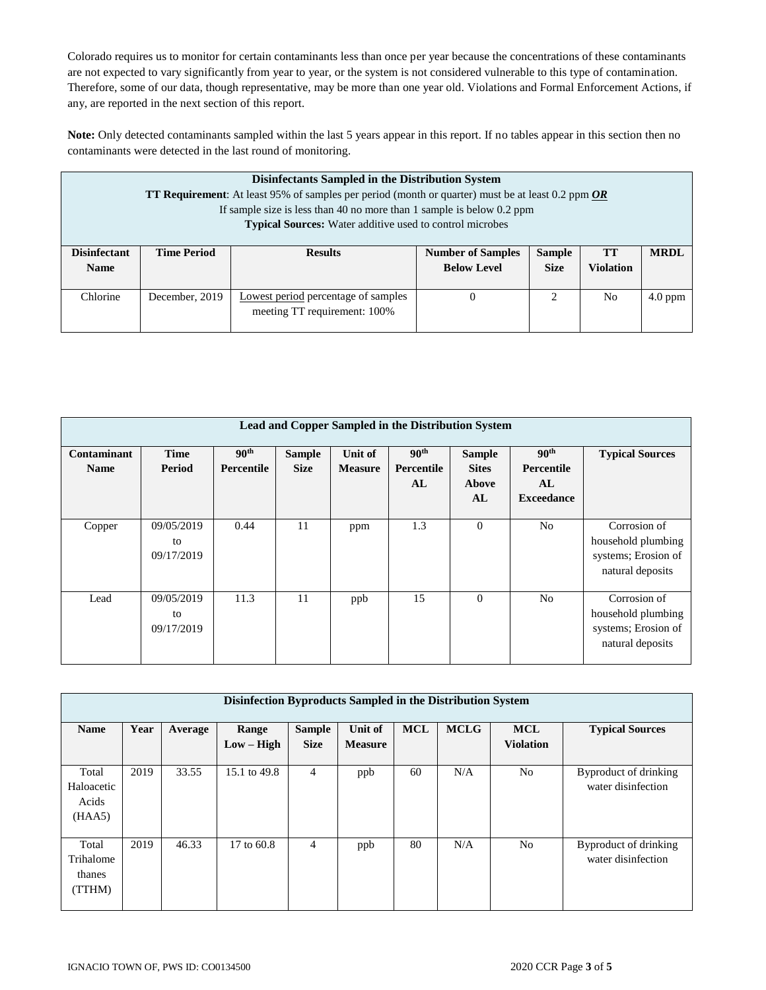Colorado requires us to monitor for certain contaminants less than once per year because the concentrations of these contaminants are not expected to vary significantly from year to year, or the system is not considered vulnerable to this type of contamination. Therefore, some of our data, though representative, may be more than one year old. Violations and Formal Enforcement Actions, if any, are reported in the next section of this report.

**Note:** Only detected contaminants sampled within the last 5 years appear in this report. If no tables appear in this section then no contaminants were detected in the last round of monitoring.

|                                    | Disinfectants Sampled in the Distribution System<br><b>TT Requirement:</b> At least 95% of samples per period (month or quarter) must be at least 0.2 ppm OR<br>If sample size is less than 40 no more than 1 sample is below $0.2$ ppm<br><b>Typical Sources:</b> Water additive used to control microbes |                                     |                                                |                              |                        |             |  |  |  |
|------------------------------------|------------------------------------------------------------------------------------------------------------------------------------------------------------------------------------------------------------------------------------------------------------------------------------------------------------|-------------------------------------|------------------------------------------------|------------------------------|------------------------|-------------|--|--|--|
| <b>Disinfectant</b><br><b>Name</b> | <b>Time Period</b>                                                                                                                                                                                                                                                                                         | <b>Results</b>                      | <b>Number of Samples</b><br><b>Below Level</b> | <b>Sample</b><br><b>Size</b> | TT<br><b>Violation</b> | <b>MRDL</b> |  |  |  |
|                                    |                                                                                                                                                                                                                                                                                                            |                                     |                                                |                              |                        |             |  |  |  |
| Chlorine                           | December, 2019                                                                                                                                                                                                                                                                                             | Lowest period percentage of samples | $\theta$                                       |                              | No                     | $4.0$ ppm   |  |  |  |
|                                    |                                                                                                                                                                                                                                                                                                            | meeting TT requirement: 100%        |                                                |                              |                        |             |  |  |  |

| Lead and Copper Sampled in the Distribution System |                                |                                |                              |                           |                                      |                                              |                                                           |                                                                               |
|----------------------------------------------------|--------------------------------|--------------------------------|------------------------------|---------------------------|--------------------------------------|----------------------------------------------|-----------------------------------------------------------|-------------------------------------------------------------------------------|
| Contaminant<br><b>Name</b>                         | <b>Time</b><br>Period          | 90 <sup>th</sup><br>Percentile | <b>Sample</b><br><b>Size</b> | Unit of<br><b>Measure</b> | 90 <sup>th</sup><br>Percentile<br>AL | <b>Sample</b><br><b>Sites</b><br>Above<br>AL | 90 <sup>th</sup><br>Percentile<br>AL<br><b>Exceedance</b> | <b>Typical Sources</b>                                                        |
| Copper                                             | 09/05/2019<br>to<br>09/17/2019 | 0.44                           | 11                           | ppm                       | 1.3                                  | $\overline{0}$                               | N <sub>o</sub>                                            | Corrosion of<br>household plumbing<br>systems; Erosion of<br>natural deposits |
| Lead                                               | 09/05/2019<br>to<br>09/17/2019 | 11.3                           | 11                           | ppb                       | 15                                   | $\theta$                                     | N <sub>o</sub>                                            | Corrosion of<br>household plumbing<br>systems; Erosion of<br>natural deposits |

| Disinfection Byproducts Sampled in the Distribution System |      |         |                       |                              |                           |            |             |                                |                                             |
|------------------------------------------------------------|------|---------|-----------------------|------------------------------|---------------------------|------------|-------------|--------------------------------|---------------------------------------------|
| <b>Name</b>                                                | Year | Average | Range<br>$Low - High$ | <b>Sample</b><br><b>Size</b> | Unit of<br><b>Measure</b> | <b>MCL</b> | <b>MCLG</b> | <b>MCL</b><br><b>Violation</b> | <b>Typical Sources</b>                      |
| Total<br>Haloacetic<br>Acids<br>(HAA5)                     | 2019 | 33.55   | 15.1 to 49.8          | $\overline{4}$               | ppb                       | 60         | N/A         | No                             | Byproduct of drinking<br>water disinfection |
| Total<br>Trihalome<br>thanes<br>(TTHM)                     | 2019 | 46.33   | 17 to $60.8$          | $\overline{4}$               | ppb                       | 80         | N/A         | N <sub>o</sub>                 | Byproduct of drinking<br>water disinfection |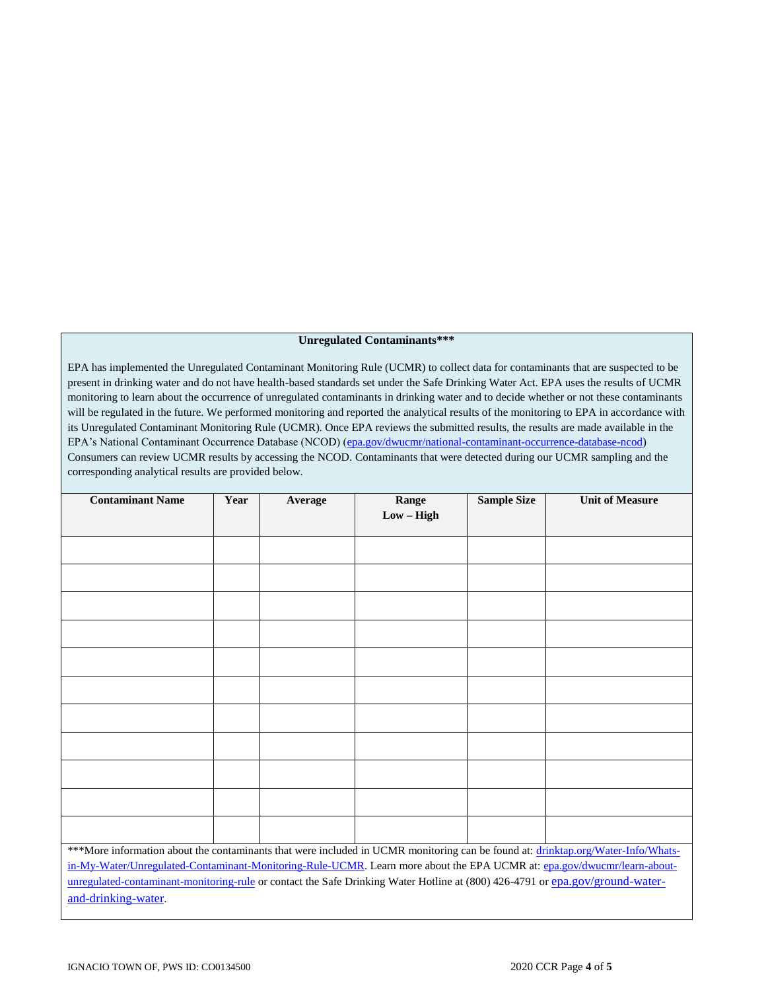#### **Unregulated Contaminants\*\*\***

EPA has implemented the Unregulated Contaminant Monitoring Rule (UCMR) to collect data for contaminants that are suspected to be present in drinking water and do not have health-based standards set under the Safe Drinking Water Act. EPA uses the results of UCMR monitoring to learn about the occurrence of unregulated contaminants in drinking water and to decide whether or not these contaminants will be regulated in the future. We performed monitoring and reported the analytical results of the monitoring to EPA in accordance with its Unregulated Contaminant Monitoring Rule (UCMR). Once EPA reviews the submitted results, the results are made available in the EPA's National Contaminant Occurrence Database (NCOD) [\(epa.gov/dwucmr/national-contaminant-occurrence-database-ncod\)](http://www.epa.gov/dwucmr/national-contaminant-occurrence-database-ncod) Consumers can review UCMR results by accessing the NCOD. Contaminants that were detected during our UCMR sampling and the corresponding analytical results are provided below.

| <b>Contaminant Name</b>                                                                                                          | Year | Average | Range        | <b>Sample Size</b> | <b>Unit of Measure</b> |
|----------------------------------------------------------------------------------------------------------------------------------|------|---------|--------------|--------------------|------------------------|
|                                                                                                                                  |      |         | $Low - High$ |                    |                        |
|                                                                                                                                  |      |         |              |                    |                        |
|                                                                                                                                  |      |         |              |                    |                        |
|                                                                                                                                  |      |         |              |                    |                        |
|                                                                                                                                  |      |         |              |                    |                        |
|                                                                                                                                  |      |         |              |                    |                        |
|                                                                                                                                  |      |         |              |                    |                        |
|                                                                                                                                  |      |         |              |                    |                        |
|                                                                                                                                  |      |         |              |                    |                        |
|                                                                                                                                  |      |         |              |                    |                        |
|                                                                                                                                  |      |         |              |                    |                        |
|                                                                                                                                  |      |         |              |                    |                        |
| ***More information about the contaminants that were included in UCMR monitoring can be found at: drinktap.org/Water-Info/Whats- |      |         |              |                    |                        |
| in-My-Water/Unregulated-Contaminant-Monitoring-Rule-UCMR. Learn more about the EPA UCMR at: epa.gov/dwucmr/learn-about-          |      |         |              |                    |                        |
| unregulated-contaminant-monitoring-rule or contact the Safe Drinking Water Hotline at (800) 426-4791 or epa.gov/ground-water-    |      |         |              |                    |                        |
| and-drinking-water.                                                                                                              |      |         |              |                    |                        |